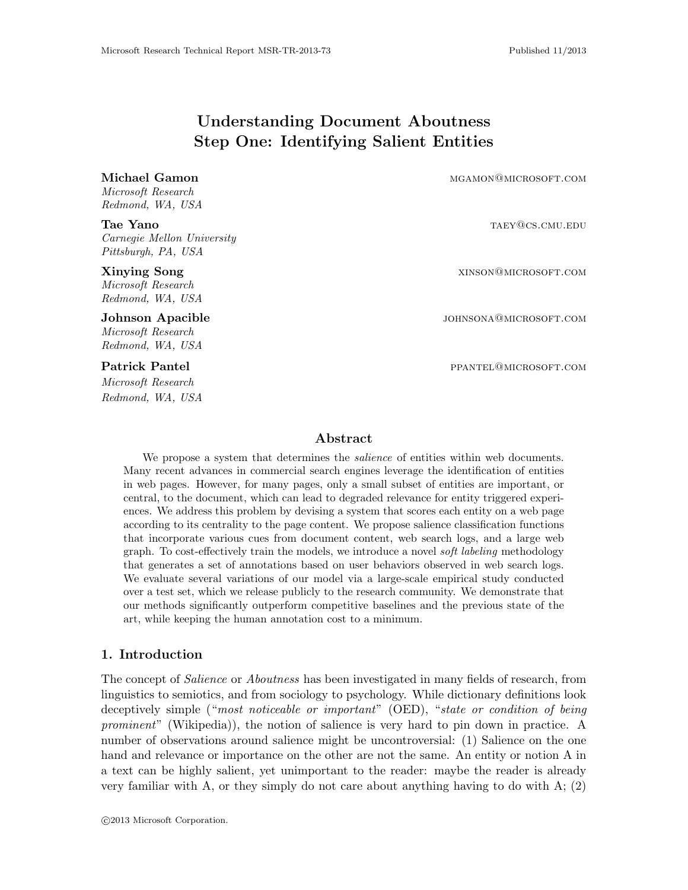# Understanding Document Aboutness Step One: Identifying Salient Entities

Microsoft Research Redmond, WA, USA

Carnegie Mellon University Pittsburgh, PA, USA

Microsoft Research Redmond, WA, USA

Microsoft Research Redmond, WA, USA

Microsoft Research Redmond, WA, USA

Michael Gamon material methods and manufacture methods and manufacture methods and manufacture methods and manufacture methods are material methods and manufacture methods are material methods and material methods are mate

Tae Yano tabel and target the contract of the TAEY@CS.CMU.EDU

**Xinying Song XINSON CONGREGATE AND A SUBSEX STATES AND A SUBSEX STATES ON SUBSEX STATES AND A SUBSEX STATES ON SUBSEXUARY OF STATES AND A SUBSEXUARY OF STATES AND A SUBSEXUARY OF STATES AND A SUBSEXUARY OF STATES AND A SU** 

Johnson Apacible in the settlement of the settlement of the settlement of the settlement of the settlement of the settlement of the settlement of the settlement of the settlement of the settlement of the settlement of the

Patrick Pantel **Pantel Pantel Pantel Pantel Pantel Pantel Pantel Pantel Pantel Pantel Pantel Pantel Pantel Pantel Pantel Pantel Pantel Pantel Pantel Pantel Pantel Pantel Pantel Pantel Pantel Pantel Pantel Pantel Pantel Pan** 

# Abstract

We propose a system that determines the *salience* of entities within web documents. Many recent advances in commercial search engines leverage the identification of entities in web pages. However, for many pages, only a small subset of entities are important, or central, to the document, which can lead to degraded relevance for entity triggered experiences. We address this problem by devising a system that scores each entity on a web page according to its centrality to the page content. We propose salience classification functions that incorporate various cues from document content, web search logs, and a large web graph. To cost-effectively train the models, we introduce a novel soft labeling methodology that generates a set of annotations based on user behaviors observed in web search logs. We evaluate several variations of our model via a large-scale empirical study conducted over a test set, which we release publicly to the research community. We demonstrate that our methods significantly outperform competitive baselines and the previous state of the art, while keeping the human annotation cost to a minimum.

# 1. Introduction

The concept of *Salience* or *Aboutness* has been investigated in many fields of research, from linguistics to semiotics, and from sociology to psychology. While dictionary definitions look deceptively simple ("most noticeable or important" (OED), "state or condition of being prominent" (Wikipedia)), the notion of salience is very hard to pin down in practice. A number of observations around salience might be uncontroversial: (1) Salience on the one hand and relevance or importance on the other are not the same. An entity or notion A in a text can be highly salient, yet unimportant to the reader: maybe the reader is already very familiar with A, or they simply do not care about anything having to do with  $A$ ; (2)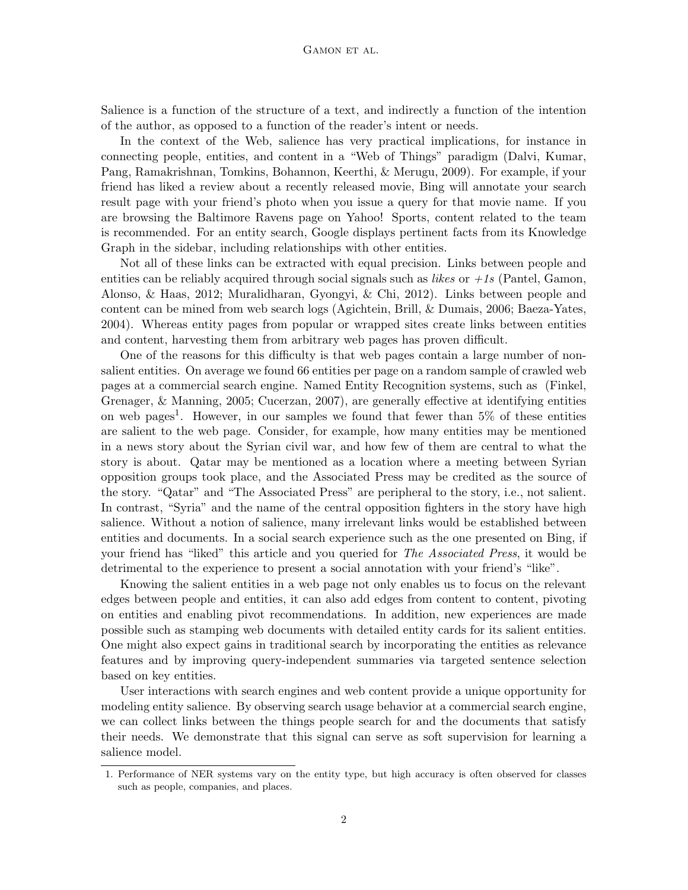Salience is a function of the structure of a text, and indirectly a function of the intention of the author, as opposed to a function of the reader's intent or needs.

In the context of the Web, salience has very practical implications, for instance in connecting people, entities, and content in a "Web of Things" paradigm (Dalvi, Kumar, Pang, Ramakrishnan, Tomkins, Bohannon, Keerthi, & Merugu, 2009). For example, if your friend has liked a review about a recently released movie, Bing will annotate your search result page with your friend's photo when you issue a query for that movie name. If you are browsing the Baltimore Ravens page on Yahoo! Sports, content related to the team is recommended. For an entity search, Google displays pertinent facts from its Knowledge Graph in the sidebar, including relationships with other entities.

Not all of these links can be extracted with equal precision. Links between people and entities can be reliably acquired through social signals such as *likes* or  $+1s$  (Pantel, Gamon, Alonso, & Haas, 2012; Muralidharan, Gyongyi, & Chi, 2012). Links between people and content can be mined from web search logs (Agichtein, Brill, & Dumais, 2006; Baeza-Yates, 2004). Whereas entity pages from popular or wrapped sites create links between entities and content, harvesting them from arbitrary web pages has proven difficult.

One of the reasons for this difficulty is that web pages contain a large number of nonsalient entities. On average we found 66 entities per page on a random sample of crawled web pages at a commercial search engine. Named Entity Recognition systems, such as (Finkel, Grenager, & Manning, 2005; Cucerzan, 2007), are generally effective at identifying entities on web pages<sup>1</sup>. However, in our samples we found that fewer than  $5\%$  of these entities are salient to the web page. Consider, for example, how many entities may be mentioned in a news story about the Syrian civil war, and how few of them are central to what the story is about. Qatar may be mentioned as a location where a meeting between Syrian opposition groups took place, and the Associated Press may be credited as the source of the story. "Qatar" and "The Associated Press" are peripheral to the story, i.e., not salient. In contrast, "Syria" and the name of the central opposition fighters in the story have high salience. Without a notion of salience, many irrelevant links would be established between entities and documents. In a social search experience such as the one presented on Bing, if your friend has "liked" this article and you queried for *The Associated Press*, it would be detrimental to the experience to present a social annotation with your friend's "like".

Knowing the salient entities in a web page not only enables us to focus on the relevant edges between people and entities, it can also add edges from content to content, pivoting on entities and enabling pivot recommendations. In addition, new experiences are made possible such as stamping web documents with detailed entity cards for its salient entities. One might also expect gains in traditional search by incorporating the entities as relevance features and by improving query-independent summaries via targeted sentence selection based on key entities.

User interactions with search engines and web content provide a unique opportunity for modeling entity salience. By observing search usage behavior at a commercial search engine, we can collect links between the things people search for and the documents that satisfy their needs. We demonstrate that this signal can serve as soft supervision for learning a salience model.

<sup>1.</sup> Performance of NER systems vary on the entity type, but high accuracy is often observed for classes such as people, companies, and places.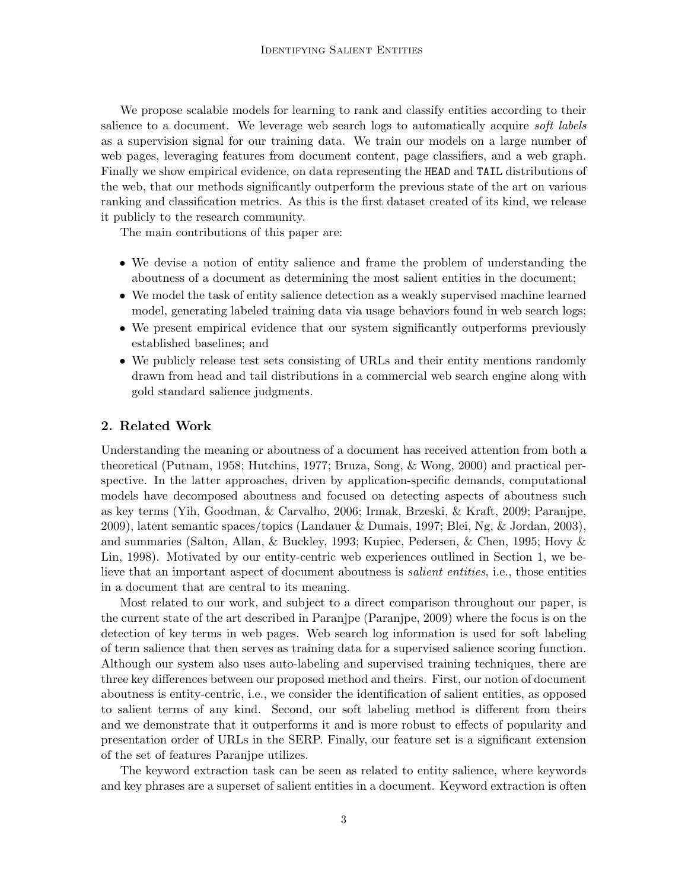We propose scalable models for learning to rank and classify entities according to their salience to a document. We leverage web search logs to automatically acquire *soft labels* as a supervision signal for our training data. We train our models on a large number of web pages, leveraging features from document content, page classifiers, and a web graph. Finally we show empirical evidence, on data representing the HEAD and TAIL distributions of the web, that our methods significantly outperform the previous state of the art on various ranking and classification metrics. As this is the first dataset created of its kind, we release it publicly to the research community.

The main contributions of this paper are:

- We devise a notion of entity salience and frame the problem of understanding the aboutness of a document as determining the most salient entities in the document;
- We model the task of entity salience detection as a weakly supervised machine learned model, generating labeled training data via usage behaviors found in web search logs;
- We present empirical evidence that our system significantly outperforms previously established baselines; and
- We publicly release test sets consisting of URLs and their entity mentions randomly drawn from head and tail distributions in a commercial web search engine along with gold standard salience judgments.

# 2. Related Work

Understanding the meaning or aboutness of a document has received attention from both a theoretical (Putnam, 1958; Hutchins, 1977; Bruza, Song, & Wong, 2000) and practical perspective. In the latter approaches, driven by application-specific demands, computational models have decomposed aboutness and focused on detecting aspects of aboutness such as key terms (Yih, Goodman, & Carvalho, 2006; Irmak, Brzeski, & Kraft, 2009; Paranjpe, 2009), latent semantic spaces/topics (Landauer & Dumais, 1997; Blei, Ng, & Jordan, 2003), and summaries (Salton, Allan, & Buckley, 1993; Kupiec, Pedersen, & Chen, 1995; Hovy & Lin, 1998). Motivated by our entity-centric web experiences outlined in Section 1, we believe that an important aspect of document aboutness is *salient entities*, i.e., those entities in a document that are central to its meaning.

Most related to our work, and subject to a direct comparison throughout our paper, is the current state of the art described in Paranjpe (Paranjpe, 2009) where the focus is on the detection of key terms in web pages. Web search log information is used for soft labeling of term salience that then serves as training data for a supervised salience scoring function. Although our system also uses auto-labeling and supervised training techniques, there are three key differences between our proposed method and theirs. First, our notion of document aboutness is entity-centric, i.e., we consider the identification of salient entities, as opposed to salient terms of any kind. Second, our soft labeling method is different from theirs and we demonstrate that it outperforms it and is more robust to effects of popularity and presentation order of URLs in the SERP. Finally, our feature set is a significant extension of the set of features Paranjpe utilizes.

The keyword extraction task can be seen as related to entity salience, where keywords and key phrases are a superset of salient entities in a document. Keyword extraction is often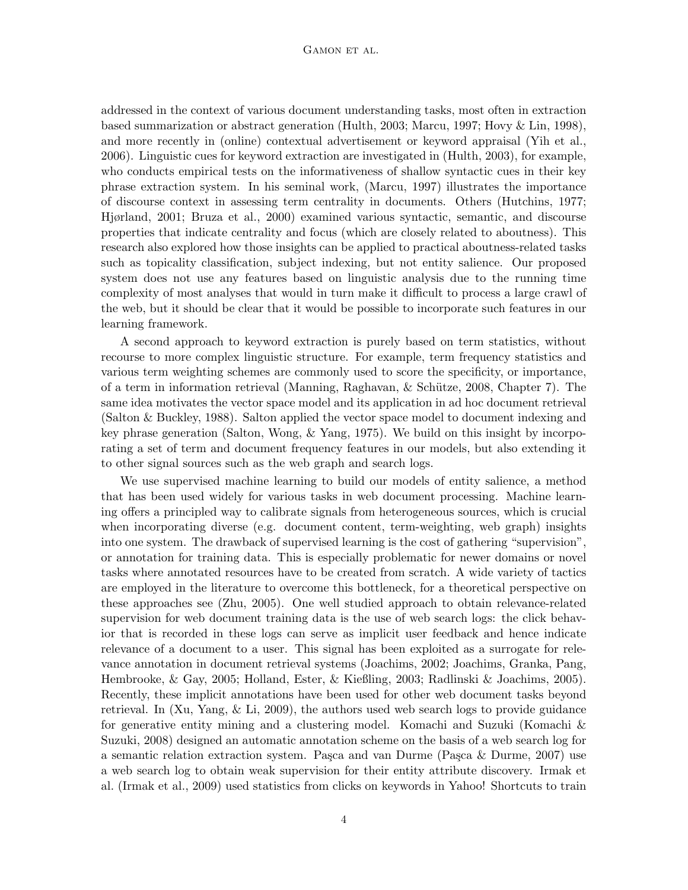### GAMON ET AL.

addressed in the context of various document understanding tasks, most often in extraction based summarization or abstract generation (Hulth, 2003; Marcu, 1997; Hovy & Lin, 1998), and more recently in (online) contextual advertisement or keyword appraisal (Yih et al., 2006). Linguistic cues for keyword extraction are investigated in (Hulth, 2003), for example, who conducts empirical tests on the informativeness of shallow syntactic cues in their key phrase extraction system. In his seminal work, (Marcu, 1997) illustrates the importance of discourse context in assessing term centrality in documents. Others (Hutchins, 1977; Hjørland, 2001; Bruza et al., 2000) examined various syntactic, semantic, and discourse properties that indicate centrality and focus (which are closely related to aboutness). This research also explored how those insights can be applied to practical aboutness-related tasks such as topicality classification, subject indexing, but not entity salience. Our proposed system does not use any features based on linguistic analysis due to the running time complexity of most analyses that would in turn make it difficult to process a large crawl of the web, but it should be clear that it would be possible to incorporate such features in our learning framework.

A second approach to keyword extraction is purely based on term statistics, without recourse to more complex linguistic structure. For example, term frequency statistics and various term weighting schemes are commonly used to score the specificity, or importance, of a term in information retrieval (Manning, Raghavan, & Schütze, 2008, Chapter 7). The same idea motivates the vector space model and its application in ad hoc document retrieval (Salton & Buckley, 1988). Salton applied the vector space model to document indexing and key phrase generation (Salton, Wong, & Yang, 1975). We build on this insight by incorporating a set of term and document frequency features in our models, but also extending it to other signal sources such as the web graph and search logs.

We use supervised machine learning to build our models of entity salience, a method that has been used widely for various tasks in web document processing. Machine learning offers a principled way to calibrate signals from heterogeneous sources, which is crucial when incorporating diverse (e.g. document content, term-weighting, web graph) insights into one system. The drawback of supervised learning is the cost of gathering "supervision", or annotation for training data. This is especially problematic for newer domains or novel tasks where annotated resources have to be created from scratch. A wide variety of tactics are employed in the literature to overcome this bottleneck, for a theoretical perspective on these approaches see (Zhu, 2005). One well studied approach to obtain relevance-related supervision for web document training data is the use of web search logs: the click behavior that is recorded in these logs can serve as implicit user feedback and hence indicate relevance of a document to a user. This signal has been exploited as a surrogate for relevance annotation in document retrieval systems (Joachims, 2002; Joachims, Granka, Pang, Hembrooke, & Gay, 2005; Holland, Ester, & Kießling, 2003; Radlinski & Joachims, 2005). Recently, these implicit annotations have been used for other web document tasks beyond retrieval. In (Xu, Yang, & Li, 2009), the authors used web search logs to provide guidance for generative entity mining and a clustering model. Komachi and Suzuki (Komachi & Suzuki, 2008) designed an automatic annotation scheme on the basis of a web search log for a semantic relation extraction system. Pasca and van Durme (Pasca & Durme, 2007) use a web search log to obtain weak supervision for their entity attribute discovery. Irmak et al. (Irmak et al., 2009) used statistics from clicks on keywords in Yahoo! Shortcuts to train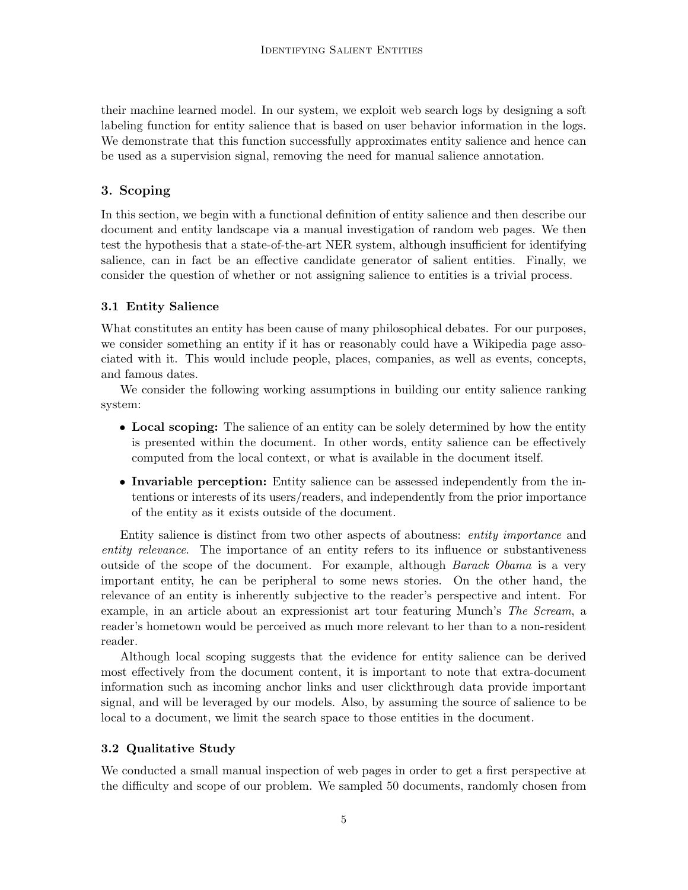their machine learned model. In our system, we exploit web search logs by designing a soft labeling function for entity salience that is based on user behavior information in the logs. We demonstrate that this function successfully approximates entity salience and hence can be used as a supervision signal, removing the need for manual salience annotation.

# 3. Scoping

In this section, we begin with a functional definition of entity salience and then describe our document and entity landscape via a manual investigation of random web pages. We then test the hypothesis that a state-of-the-art NER system, although insufficient for identifying salience, can in fact be an effective candidate generator of salient entities. Finally, we consider the question of whether or not assigning salience to entities is a trivial process.

# 3.1 Entity Salience

What constitutes an entity has been cause of many philosophical debates. For our purposes, we consider something an entity if it has or reasonably could have a Wikipedia page associated with it. This would include people, places, companies, as well as events, concepts, and famous dates.

We consider the following working assumptions in building our entity salience ranking system:

- Local scoping: The salience of an entity can be solely determined by how the entity is presented within the document. In other words, entity salience can be effectively computed from the local context, or what is available in the document itself.
- Invariable perception: Entity salience can be assessed independently from the intentions or interests of its users/readers, and independently from the prior importance of the entity as it exists outside of the document.

Entity salience is distinct from two other aspects of aboutness: entity importance and entity relevance. The importance of an entity refers to its influence or substantiveness outside of the scope of the document. For example, although *Barack Obama* is a very important entity, he can be peripheral to some news stories. On the other hand, the relevance of an entity is inherently subjective to the reader's perspective and intent. For example, in an article about an expressionist art tour featuring Munch's The Scream, a reader's hometown would be perceived as much more relevant to her than to a non-resident reader.

Although local scoping suggests that the evidence for entity salience can be derived most effectively from the document content, it is important to note that extra-document information such as incoming anchor links and user clickthrough data provide important signal, and will be leveraged by our models. Also, by assuming the source of salience to be local to a document, we limit the search space to those entities in the document.

# 3.2 Qualitative Study

We conducted a small manual inspection of web pages in order to get a first perspective at the difficulty and scope of our problem. We sampled 50 documents, randomly chosen from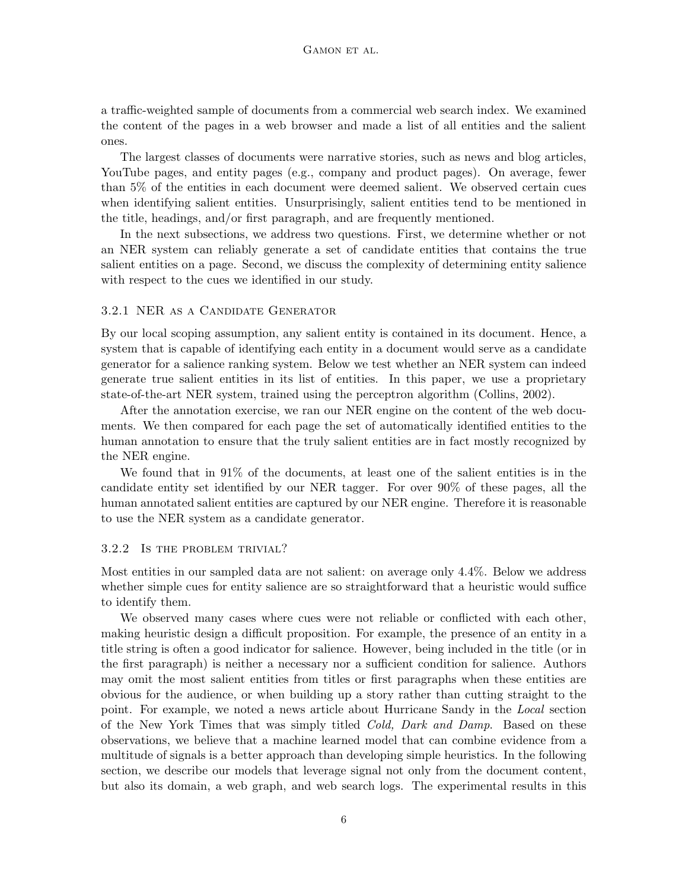a traffic-weighted sample of documents from a commercial web search index. We examined the content of the pages in a web browser and made a list of all entities and the salient ones.

The largest classes of documents were narrative stories, such as news and blog articles, YouTube pages, and entity pages (e.g., company and product pages). On average, fewer than 5% of the entities in each document were deemed salient. We observed certain cues when identifying salient entities. Unsurprisingly, salient entities tend to be mentioned in the title, headings, and/or first paragraph, and are frequently mentioned.

In the next subsections, we address two questions. First, we determine whether or not an NER system can reliably generate a set of candidate entities that contains the true salient entities on a page. Second, we discuss the complexity of determining entity salience with respect to the cues we identified in our study.

#### 3.2.1 NER as a Candidate Generator

By our local scoping assumption, any salient entity is contained in its document. Hence, a system that is capable of identifying each entity in a document would serve as a candidate generator for a salience ranking system. Below we test whether an NER system can indeed generate true salient entities in its list of entities. In this paper, we use a proprietary state-of-the-art NER system, trained using the perceptron algorithm (Collins, 2002).

After the annotation exercise, we ran our NER engine on the content of the web documents. We then compared for each page the set of automatically identified entities to the human annotation to ensure that the truly salient entities are in fact mostly recognized by the NER engine.

We found that in 91% of the documents, at least one of the salient entities is in the candidate entity set identified by our NER tagger. For over 90% of these pages, all the human annotated salient entities are captured by our NER engine. Therefore it is reasonable to use the NER system as a candidate generator.

### 3.2.2 Is the problem trivial?

Most entities in our sampled data are not salient: on average only 4.4%. Below we address whether simple cues for entity salience are so straightforward that a heuristic would suffice to identify them.

We observed many cases where cues were not reliable or conflicted with each other, making heuristic design a difficult proposition. For example, the presence of an entity in a title string is often a good indicator for salience. However, being included in the title (or in the first paragraph) is neither a necessary nor a sufficient condition for salience. Authors may omit the most salient entities from titles or first paragraphs when these entities are obvious for the audience, or when building up a story rather than cutting straight to the point. For example, we noted a news article about Hurricane Sandy in the Local section of the New York Times that was simply titled *Cold, Dark and Damp*. Based on these observations, we believe that a machine learned model that can combine evidence from a multitude of signals is a better approach than developing simple heuristics. In the following section, we describe our models that leverage signal not only from the document content, but also its domain, a web graph, and web search logs. The experimental results in this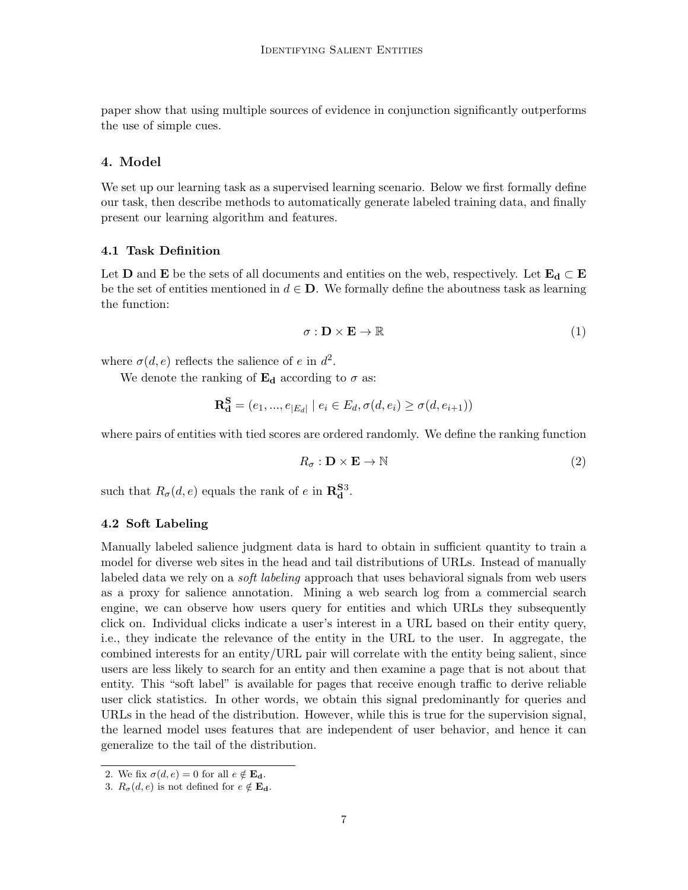paper show that using multiple sources of evidence in conjunction significantly outperforms the use of simple cues.

# 4. Model

We set up our learning task as a supervised learning scenario. Below we first formally define our task, then describe methods to automatically generate labeled training data, and finally present our learning algorithm and features.

#### 4.1 Task Definition

Let **D** and **E** be the sets of all documents and entities on the web, respectively. Let  $\mathbf{E}_d \subset \mathbf{E}$ be the set of entities mentioned in  $d \in \mathbf{D}$ . We formally define the aboutness task as learning the function:

$$
\sigma : \mathbf{D} \times \mathbf{E} \to \mathbb{R} \tag{1}
$$

where  $\sigma(d, e)$  reflects the salience of e in  $d^2$ .

We denote the ranking of  $\mathbf{E}_{d}$  according to  $\sigma$  as:

$$
\mathbf{R}_{\mathbf{d}}^{\mathbf{S}} = (e_1, ..., e_{|E_d|} | e_i \in E_d, \sigma(d, e_i) \ge \sigma(d, e_{i+1}))
$$

where pairs of entities with tied scores are ordered randomly. We define the ranking function

$$
R_{\sigma} : \mathbf{D} \times \mathbf{E} \to \mathbb{N} \tag{2}
$$

such that  $R_{\sigma}(d, e)$  equals the rank of e in  $\mathbb{R}^{S3}_{d}$ .

#### 4.2 Soft Labeling

Manually labeled salience judgment data is hard to obtain in sufficient quantity to train a model for diverse web sites in the head and tail distributions of URLs. Instead of manually labeled data we rely on a *soft labeling* approach that uses behavioral signals from web users as a proxy for salience annotation. Mining a web search log from a commercial search engine, we can observe how users query for entities and which URLs they subsequently click on. Individual clicks indicate a user's interest in a URL based on their entity query, i.e., they indicate the relevance of the entity in the URL to the user. In aggregate, the combined interests for an entity/URL pair will correlate with the entity being salient, since users are less likely to search for an entity and then examine a page that is not about that entity. This "soft label" is available for pages that receive enough traffic to derive reliable user click statistics. In other words, we obtain this signal predominantly for queries and URLs in the head of the distribution. However, while this is true for the supervision signal, the learned model uses features that are independent of user behavior, and hence it can generalize to the tail of the distribution.

<sup>2.</sup> We fix  $\sigma(d, e) = 0$  for all  $e \notin \mathbf{E_d}$ .

<sup>3.</sup>  $R_{\sigma}(d, e)$  is not defined for  $e \notin \mathbf{E}_{d}$ .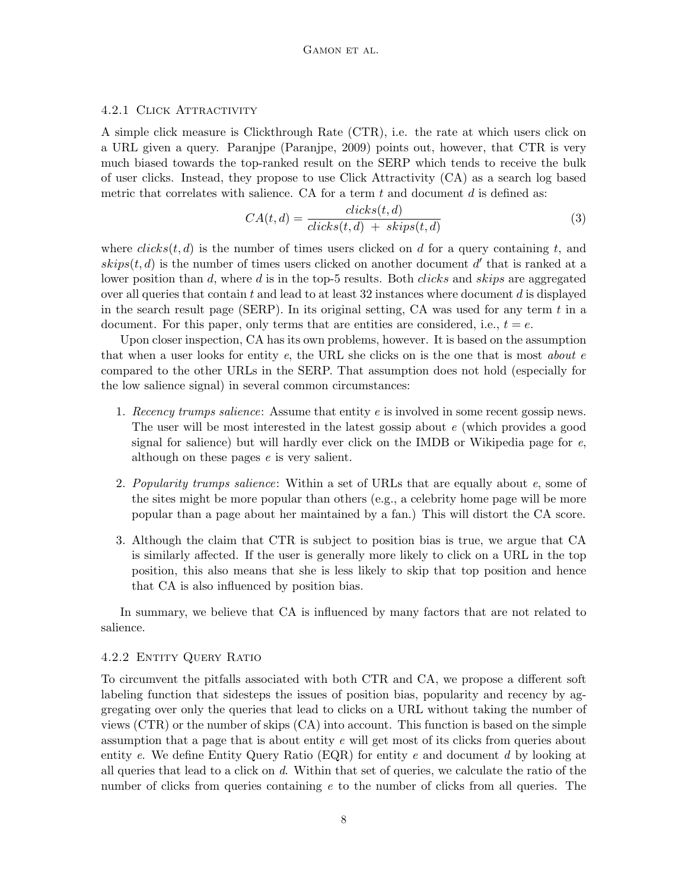## 4.2.1 Click Attractivity

A simple click measure is Clickthrough Rate (CTR), i.e. the rate at which users click on a URL given a query. Paranjpe (Paranjpe, 2009) points out, however, that CTR is very much biased towards the top-ranked result on the SERP which tends to receive the bulk of user clicks. Instead, they propose to use Click Attractivity (CA) as a search log based metric that correlates with salience. CA for a term  $t$  and document  $d$  is defined as:

$$
CA(t,d) = \frac{clicks(t,d)}{clicks(t,d) + skips(t,d)}\tag{3}
$$

where  $clicks(t, d)$  is the number of times users clicked on d for a query containing t, and  $skip(t, d)$  is the number of times users clicked on another document d' that is ranked at a lower position than d, where d is in the top-5 results. Both *clicks* and *skips* are aggregated over all queries that contain t and lead to at least  $32$  instances where document d is displayed in the search result page (SERP). In its original setting, CA was used for any term  $t$  in a document. For this paper, only terms that are entities are considered, i.e.,  $t = e$ .

Upon closer inspection, CA has its own problems, however. It is based on the assumption that when a user looks for entity  $e$ , the URL she clicks on is the one that is most *about*  $e$ compared to the other URLs in the SERP. That assumption does not hold (especially for the low salience signal) in several common circumstances:

- 1. Recency trumps salience: Assume that entity  $e$  is involved in some recent gossip news. The user will be most interested in the latest gossip about e (which provides a good signal for salience) but will hardly ever click on the IMDB or Wikipedia page for e, although on these pages e is very salient.
- 2. Popularity trumps salience: Within a set of URLs that are equally about e, some of the sites might be more popular than others (e.g., a celebrity home page will be more popular than a page about her maintained by a fan.) This will distort the CA score.
- 3. Although the claim that CTR is subject to position bias is true, we argue that CA is similarly affected. If the user is generally more likely to click on a URL in the top position, this also means that she is less likely to skip that top position and hence that CA is also influenced by position bias.

In summary, we believe that CA is influenced by many factors that are not related to salience.

#### 4.2.2 Entity Query Ratio

To circumvent the pitfalls associated with both CTR and CA, we propose a different soft labeling function that sidesteps the issues of position bias, popularity and recency by aggregating over only the queries that lead to clicks on a URL without taking the number of views (CTR) or the number of skips (CA) into account. This function is based on the simple assumption that a page that is about entity e will get most of its clicks from queries about entity e. We define Entity Query Ratio (EQR) for entity e and document d by looking at all queries that lead to a click on d. Within that set of queries, we calculate the ratio of the number of clicks from queries containing e to the number of clicks from all queries. The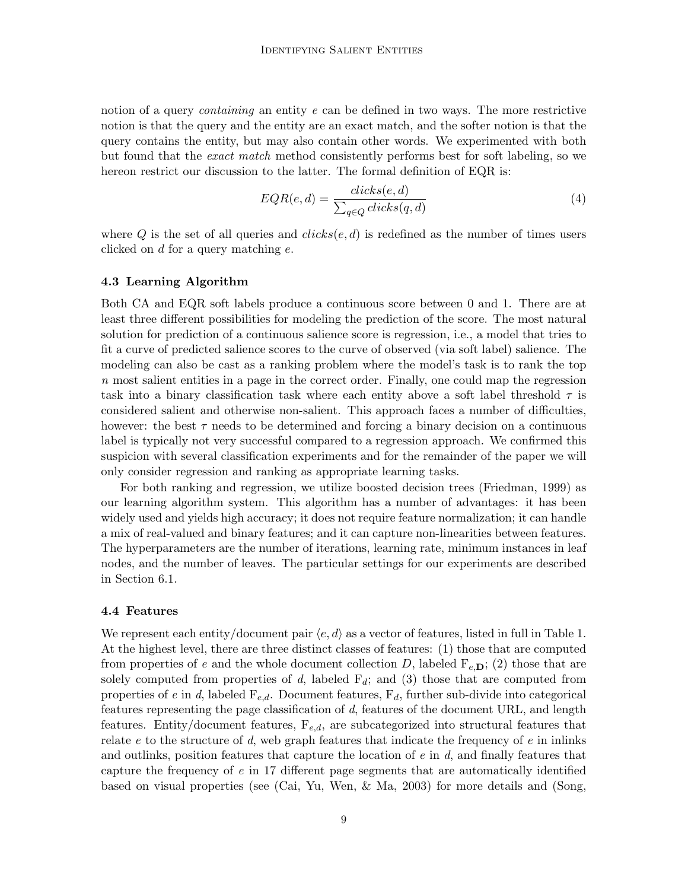notion of a query *containing* an entity e can be defined in two ways. The more restrictive notion is that the query and the entity are an exact match, and the softer notion is that the query contains the entity, but may also contain other words. We experimented with both but found that the exact match method consistently performs best for soft labeling, so we hereon restrict our discussion to the latter. The formal definition of EQR is:

$$
EQR(e,d) = \frac{clicks(e,d)}{\sum_{q \in Q}clicks(q,d)}\tag{4}
$$

where Q is the set of all queries and  $clicks(e, d)$  is redefined as the number of times users clicked on d for a query matching e.

#### 4.3 Learning Algorithm

Both CA and EQR soft labels produce a continuous score between 0 and 1. There are at least three different possibilities for modeling the prediction of the score. The most natural solution for prediction of a continuous salience score is regression, i.e., a model that tries to fit a curve of predicted salience scores to the curve of observed (via soft label) salience. The modeling can also be cast as a ranking problem where the model's task is to rank the top n most salient entities in a page in the correct order. Finally, one could map the regression task into a binary classification task where each entity above a soft label threshold  $\tau$  is considered salient and otherwise non-salient. This approach faces a number of difficulties, however: the best  $\tau$  needs to be determined and forcing a binary decision on a continuous label is typically not very successful compared to a regression approach. We confirmed this suspicion with several classification experiments and for the remainder of the paper we will only consider regression and ranking as appropriate learning tasks.

For both ranking and regression, we utilize boosted decision trees (Friedman, 1999) as our learning algorithm system. This algorithm has a number of advantages: it has been widely used and yields high accuracy; it does not require feature normalization; it can handle a mix of real-valued and binary features; and it can capture non-linearities between features. The hyperparameters are the number of iterations, learning rate, minimum instances in leaf nodes, and the number of leaves. The particular settings for our experiments are described in Section 6.1.

#### 4.4 Features

We represent each entity/document pair  $\langle e, d \rangle$  as a vector of features, listed in full in Table 1. At the highest level, there are three distinct classes of features: (1) those that are computed from properties of e and the whole document collection D, labeled  $F_{e,D}$ ; (2) those that are solely computed from properties of d, labeled  $F_d$ ; and (3) those that are computed from properties of e in d, labeled  $F_{e,d}$ . Document features,  $F_d$ , further sub-divide into categorical features representing the page classification of d, features of the document URL, and length features. Entity/document features,  $F_{e,d}$ , are subcategorized into structural features that relate  $e$  to the structure of  $d$ , web graph features that indicate the frequency of  $e$  in inlinks and outlinks, position features that capture the location of  $e$  in  $d$ , and finally features that capture the frequency of  $e$  in 17 different page segments that are automatically identified based on visual properties (see (Cai, Yu, Wen, & Ma, 2003) for more details and (Song,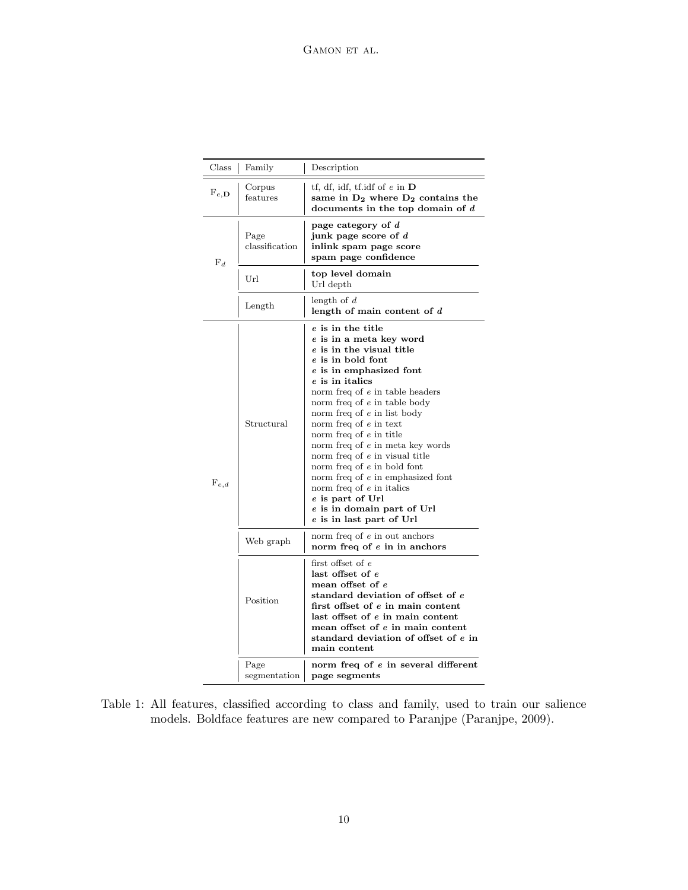| Class          | Family                 | Description                                                                                                                                                                                                                                                                                                                                                                                                                                                                                                                                                   |  |  |
|----------------|------------------------|---------------------------------------------------------------------------------------------------------------------------------------------------------------------------------------------------------------------------------------------------------------------------------------------------------------------------------------------------------------------------------------------------------------------------------------------------------------------------------------------------------------------------------------------------------------|--|--|
| $F_{e,D}$      | Corpus<br>features     | tf, df, idf, tf.idf of $e$ in $D$<br>same in $D_2$ where $D_2$ contains the<br>documents in the top domain of $d$                                                                                                                                                                                                                                                                                                                                                                                                                                             |  |  |
| $\mathbf{F}_d$ | Page<br>classification | page category of $d$<br>junk page score of d<br>inlink spam page score<br>spam page confidence                                                                                                                                                                                                                                                                                                                                                                                                                                                                |  |  |
|                | Url                    | top level domain<br>Url depth                                                                                                                                                                                                                                                                                                                                                                                                                                                                                                                                 |  |  |
|                | Length                 | length of $d$<br>length of main content of $d$                                                                                                                                                                                                                                                                                                                                                                                                                                                                                                                |  |  |
| $F_{e,d}$      | Structural             | e is in the title<br>e is in a meta key word<br>e is in the visual title<br>e is in bold font<br>e is in emphasized font<br>e is in italics<br>norm freq of e in table headers<br>norm freq of e in table body<br>norm freq of e in list body<br>norm freq of $e$ in text<br>norm freq of e in title<br>norm freq of e in meta key words<br>norm freq of e in visual title<br>norm freq of $e$ in bold font<br>norm freq of e in emphasized font<br>norm freq of $e$ in italics<br>e is part of Url<br>e is in domain part of Url<br>e is in last part of Url |  |  |
|                | Web graph              | norm freq of $e$ in out anchors<br>norm freq of e in in anchors                                                                                                                                                                                                                                                                                                                                                                                                                                                                                               |  |  |
|                | Position               | first offset of $e$<br>last offset of e<br>mean offset of e<br>standard deviation of offset of e<br>first offset of e in main content<br>last offset of e in main content<br>mean offset of e in main content<br>standard deviation of offset of e in<br>main content                                                                                                                                                                                                                                                                                         |  |  |
|                | Page<br>segmentation   | norm freq of e in several different<br>page segments                                                                                                                                                                                                                                                                                                                                                                                                                                                                                                          |  |  |

Table 1: All features, classified according to class and family, used to train our salience models. Boldface features are new compared to Paranjpe (Paranjpe, 2009).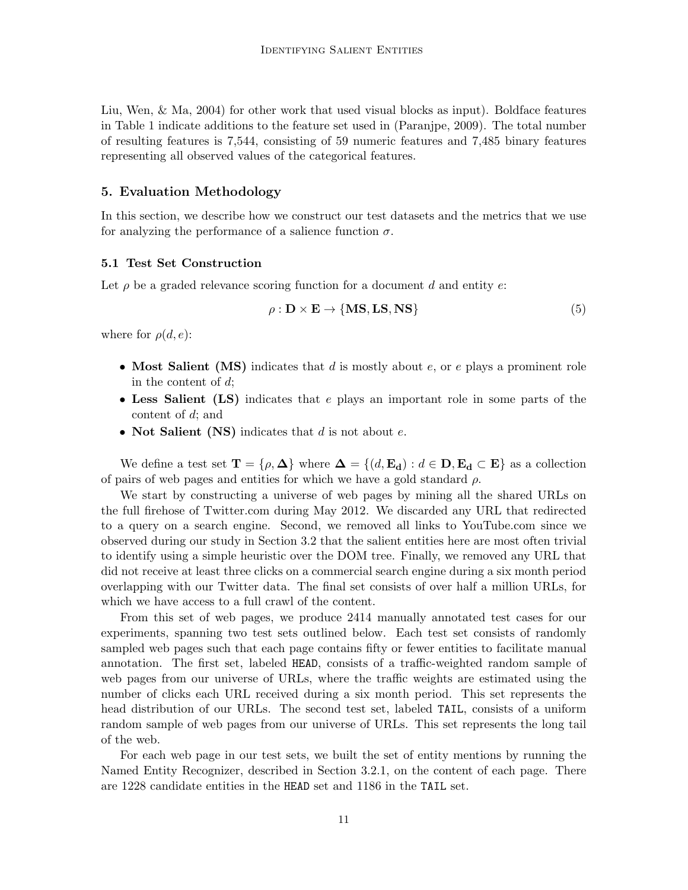Liu, Wen, & Ma, 2004) for other work that used visual blocks as input). Boldface features in Table 1 indicate additions to the feature set used in (Paranjpe, 2009). The total number of resulting features is 7,544, consisting of 59 numeric features and 7,485 binary features representing all observed values of the categorical features.

## 5. Evaluation Methodology

In this section, we describe how we construct our test datasets and the metrics that we use for analyzing the performance of a salience function  $\sigma$ .

#### 5.1 Test Set Construction

Let  $\rho$  be a graded relevance scoring function for a document d and entity e:

$$
\rho : \mathbf{D} \times \mathbf{E} \to \{ \mathbf{MS}, \mathbf{LS}, \mathbf{NS} \}
$$
\n<sup>(5)</sup>

where for  $\rho(d, e)$ :

- Most Salient (MS) indicates that d is mostly about  $e$ , or  $e$  plays a prominent role in the content of d;
- Less Salient (LS) indicates that e plays an important role in some parts of the content of d; and
- Not Salient (NS) indicates that  $d$  is not about  $e$ .

We define a test set  $\mathbf{T} = \{ \rho, \mathbf{\Delta} \}$  where  $\mathbf{\Delta} = \{ (d, \mathbf{E}_{\mathbf{d}}) : d \in \mathbf{D}, \mathbf{E}_{\mathbf{d}} \subset \mathbf{E} \}$  as a collection of pairs of web pages and entities for which we have a gold standard  $\rho$ .

We start by constructing a universe of web pages by mining all the shared URLs on the full firehose of Twitter.com during May 2012. We discarded any URL that redirected to a query on a search engine. Second, we removed all links to YouTube.com since we observed during our study in Section 3.2 that the salient entities here are most often trivial to identify using a simple heuristic over the DOM tree. Finally, we removed any URL that did not receive at least three clicks on a commercial search engine during a six month period overlapping with our Twitter data. The final set consists of over half a million URLs, for which we have access to a full crawl of the content.

From this set of web pages, we produce 2414 manually annotated test cases for our experiments, spanning two test sets outlined below. Each test set consists of randomly sampled web pages such that each page contains fifty or fewer entities to facilitate manual annotation. The first set, labeled HEAD, consists of a traffic-weighted random sample of web pages from our universe of URLs, where the traffic weights are estimated using the number of clicks each URL received during a six month period. This set represents the head distribution of our URLs. The second test set, labeled TAIL, consists of a uniform random sample of web pages from our universe of URLs. This set represents the long tail of the web.

For each web page in our test sets, we built the set of entity mentions by running the Named Entity Recognizer, described in Section 3.2.1, on the content of each page. There are 1228 candidate entities in the HEAD set and 1186 in the TAIL set.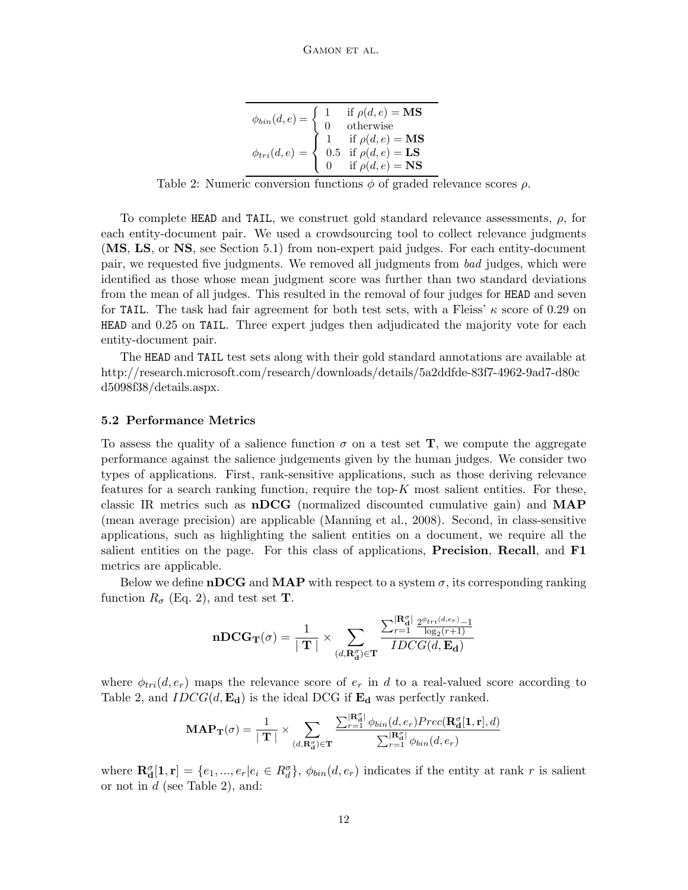|                                    | if $\rho(d, e) = MS$<br>otherwise                                                                                                                                          |
|------------------------------------|----------------------------------------------------------------------------------------------------------------------------------------------------------------------------|
| $\phi_{bin}(d, e) = \begin{cases}$ |                                                                                                                                                                            |
|                                    |                                                                                                                                                                            |
|                                    |                                                                                                                                                                            |
|                                    | $\phi_{tri}(d,e) = \begin{cases} 1 & \text{if } \rho(d,e) = \mathbf{MS} \\ 0.5 & \text{if } \rho(d,e) = \mathbf{LS} \\ 0 & \text{if } \rho(d,e) = \mathbf{NS} \end{cases}$ |

Table 2: Numeric conversion functions  $\phi$  of graded relevance scores  $\rho$ .

To complete HEAD and TAIL, we construct gold standard relevance assessments,  $\rho$ , for each entity-document pair. We used a crowdsourcing tool to collect relevance judgments (MS, LS, or NS, see Section 5.1) from non-expert paid judges. For each entity-document pair, we requested five judgments. We removed all judgments from bad judges, which were identified as those whose mean judgment score was further than two standard deviations from the mean of all judges. This resulted in the removal of four judges for HEAD and seven for TAIL. The task had fair agreement for both test sets, with a Fleiss'  $\kappa$  score of 0.29 on HEAD and 0.25 on TAIL. Three expert judges then adjudicated the majority vote for each entity-document pair.

The HEAD and TAIL test sets along with their gold standard annotations are available at http://research.microsoft.com/research/downloads/details/5a2ddfde-83f7-4962-9ad7-d80c d5098f38/details.aspx.

#### 5.2 Performance Metrics

To assess the quality of a salience function  $\sigma$  on a test set T, we compute the aggregate performance against the salience judgements given by the human judges. We consider two types of applications. First, rank-sensitive applications, such as those deriving relevance features for a search ranking function, require the top- $K$  most salient entities. For these, classic IR metrics such as nDCG (normalized discounted cumulative gain) and MAP (mean average precision) are applicable (Manning et al., 2008). Second, in class-sensitive applications, such as highlighting the salient entities on a document, we require all the salient entities on the page. For this class of applications, **Precision**, **Recall**, and **F1** metrics are applicable.

Below we define nDCG and MAP with respect to a system  $\sigma$ , its corresponding ranking function  $R_{\sigma}$  (Eq. 2), and test set **T**.

$$
\mathbf{nDCG_T}(\sigma) = \frac{1}{\mid \mathbf{T} \mid} \times \sum_{(d,\mathbf{R_d^o}) \in \mathbf{T}} \frac{\sum_{r=1}^{|\mathbf{R_d^o}|} \frac{2^{\phi_{tri}(d, e_r)} - 1}{\log_2(r+1)}}{IDCG(d, \mathbf{E_d})}
$$

where  $\phi_{tri}(d, e_r)$  maps the relevance score of  $e_r$  in d to a real-valued score according to Table 2, and  $IDCG(d, \mathbf{E}_d)$  is the ideal DCG if  $\mathbf{E}_d$  was perfectly ranked.

$$
\textbf{MAP}_{\textbf{T}}(\sigma) = \frac{1}{\mid \textbf{T} \mid} \times \sum_{(d,\textbf{R}_{\textbf{d}}^{\sigma}) \in \textbf{T}} \frac{\sum_{r=1}^{|\textbf{R}_{\textbf{d}}^{\sigma}|} \phi_{bin}(d, e_{r})Prec(\textbf{R}_{\textbf{d}}^{\sigma}[1, \textbf{r}], d)}{\sum_{r=1}^{|\textbf{R}_{\textbf{d}}^{\sigma}|} \phi_{bin}(d, e_{r})}
$$

where  $\mathbf{R}_{d}^{\sigma}[\mathbf{1},\mathbf{r}] = \{e_1,...,e_r | e_i \in R_d^{\sigma}\}, \phi_{bin}(d,e_r)$  indicates if the entity at rank r is salient or not in  $d$  (see Table 2), and: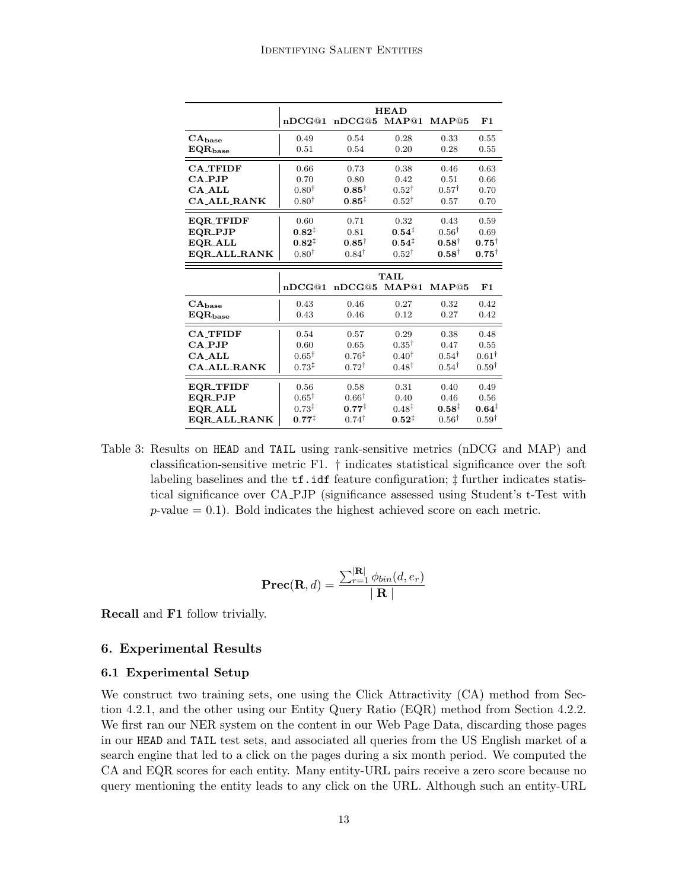|                                 | <b>HEAD</b>       |                   |                   |                   |                   |  |  |
|---------------------------------|-------------------|-------------------|-------------------|-------------------|-------------------|--|--|
|                                 | nDCG@1            | nDCG@5            | MAP@1             | MAP@5             | F1                |  |  |
| $CA_{base}$                     | 0.49              | 0.54              | 0.28              | 0.33              | 0.55              |  |  |
| $EQR_{base}$                    | 0.51              | 0.54              | 0.20              | 0.28              | 0.55              |  |  |
| <b>CA TFIDF</b>                 | 0.66              | 0.73              | 0.38              | 0.46              | 0.63              |  |  |
| $CA$ PJP                        | 0.70              | 0.80              | 0.42              | 0.51              | 0.66              |  |  |
| $CA$ <sub>-ALL</sub>            | $0.80^{\dagger}$  | $0.85^\dagger$    | $0.52^{\dagger}$  | $0.57^{\dagger}$  | 0.70              |  |  |
| <b>CA ALL RANK</b>              | $0.80^{\dagger}$  | $0.85^{\ddagger}$ | $0.52^{\dagger}$  | 0.57              | 0.70              |  |  |
| <b>EQR_TFIDF</b>                | 0.60              | 0.71              | 0.32              | 0.43              | 0.59              |  |  |
| EQR_PJP                         | $0.82^{\ddagger}$ | 0.81              | $0.54^{\ddagger}$ | $0.56^{\dagger}$  | 0.69              |  |  |
| EQR_ALL                         | $0.82^{\ddagger}$ | $0.85^\dagger$    | $0.54^{\ddagger}$ | $0.58^{\dagger}$  | $0.75^{\dagger}$  |  |  |
| EQR_ALL_RANK                    | $0.80^{\dagger}$  | $0.84^{\dagger}$  | $0.52^{\dagger}$  | $0.58^{\dagger}$  | $0.75^{\dagger}$  |  |  |
|                                 | <b>TAIL</b>       |                   |                   |                   |                   |  |  |
|                                 |                   |                   |                   |                   |                   |  |  |
|                                 | nDCG@1            | nDCG@5            | MAP@1             | MAP@5             | F1                |  |  |
|                                 | 0.43              | 0.46              | 0.27              | 0.32              | 0.42              |  |  |
| $CA_{base}$<br>$\rm EQR_{base}$ | 0.43              | 0.46              | 0.12              | 0.27              | 0.42              |  |  |
| <b>CA TFIDF</b>                 | 0.54              | 0.57              | 0.29              | 0.38              | 0.48              |  |  |
| CA_PJP                          | 0.60              | 0.65              | $0.35^{\dagger}$  | 0.47              | 0.55              |  |  |
| CA ALL                          | $0.65^{\dagger}$  | $0.76^{\ddagger}$ | $0.40^{\dagger}$  | $0.54^{\dagger}$  | $0.61^{\dagger}$  |  |  |
| <b>CA_ALL_RANK</b>              | $0.73^{\ddagger}$ | $0.72^{\dagger}$  | $0.48^{\dagger}$  | $0.54^{\dagger}$  | $0.59^{\dagger}$  |  |  |
| <b>EQR_TFIDF</b>                | 0.56              | 0.58              | 0.31              | 0.40              | 0.49              |  |  |
| EQR_PJP                         | $0.65^{\dagger}$  | $0.66^{\dagger}$  | 0.40              | 0.46              | 0.56              |  |  |
| EQR_ALL                         | $0.73^{\ddagger}$ | $0.77^{\ddagger}$ | $0.48^{\ddagger}$ | $0.58^{\ddagger}$ | $0.64^{\ddagger}$ |  |  |

Table 3: Results on HEAD and TAIL using rank-sensitive metrics (nDCG and MAP) and classification-sensitive metric F1. † indicates statistical significance over the soft labeling baselines and the tf.idf feature configuration; ‡ further indicates statistical significance over CA PJP (significance assessed using Student's t-Test with  $p$ -value  $= 0.1$ ). Bold indicates the highest achieved score on each metric.

$$
\mathbf{Prec}(\mathbf{R}, d) = \frac{\sum_{r=1}^{|\mathbf{R}|} \phi_{bin}(d, e_r)}{|\mathbf{R}|}
$$

Recall and F1 follow trivially.

# 6. Experimental Results

#### 6.1 Experimental Setup

We construct two training sets, one using the Click Attractivity  $(CA)$  method from Section 4.2.1, and the other using our Entity Query Ratio (EQR) method from Section 4.2.2. We first ran our NER system on the content in our Web Page Data, discarding those pages in our HEAD and TAIL test sets, and associated all queries from the US English market of a search engine that led to a click on the pages during a six month period. We computed the CA and EQR scores for each entity. Many entity-URL pairs receive a zero score because no query mentioning the entity leads to any click on the URL. Although such an entity-URL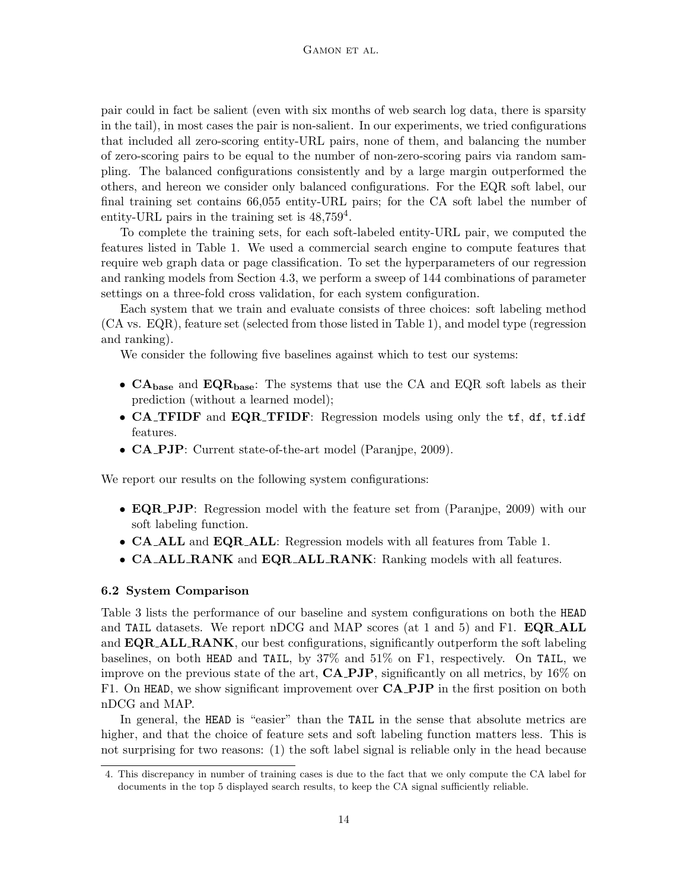pair could in fact be salient (even with six months of web search log data, there is sparsity in the tail), in most cases the pair is non-salient. In our experiments, we tried configurations that included all zero-scoring entity-URL pairs, none of them, and balancing the number of zero-scoring pairs to be equal to the number of non-zero-scoring pairs via random sampling. The balanced configurations consistently and by a large margin outperformed the others, and hereon we consider only balanced configurations. For the EQR soft label, our final training set contains 66,055 entity-URL pairs; for the CA soft label the number of entity-URL pairs in the training set is  $48,759^4$ .

To complete the training sets, for each soft-labeled entity-URL pair, we computed the features listed in Table 1. We used a commercial search engine to compute features that require web graph data or page classification. To set the hyperparameters of our regression and ranking models from Section 4.3, we perform a sweep of 144 combinations of parameter settings on a three-fold cross validation, for each system configuration.

Each system that we train and evaluate consists of three choices: soft labeling method (CA vs. EQR), feature set (selected from those listed in Table 1), and model type (regression and ranking).

We consider the following five baselines against which to test our systems:

- $CA<sub>base</sub>$  and  $EQR<sub>base</sub>$ : The systems that use the CA and EQR soft labels as their prediction (without a learned model);
- CA\_TFIDF and EQR\_TFIDF: Regression models using only the tf, df, tf.idf features.
- CA PJP: Current state-of-the-art model (Paranjpe, 2009).

We report our results on the following system configurations:

- **EQR\_PJP**: Regression model with the feature set from (Paranjpe, 2009) with our soft labeling function.
- CA ALL and EQR ALL: Regression models with all features from Table 1.
- CA ALL RANK and EQR ALL RANK: Ranking models with all features.

#### 6.2 System Comparison

Table 3 lists the performance of our baseline and system configurations on both the HEAD and TAIL datasets. We report nDCG and MAP scores (at 1 and 5) and F1. **EQR\_ALL** and **EQR\_ALL\_RANK**, our best configurations, significantly outperform the soft labeling baselines, on both HEAD and TAIL, by 37% and 51% on F1, respectively. On TAIL, we improve on the previous state of the art, **CA\_PJP**, significantly on all metrics, by  $16\%$  on F1. On HEAD, we show significant improvement over  $\mathbf{C}\mathbf{A}$  **PJP** in the first position on both nDCG and MAP.

In general, the HEAD is "easier" than the TAIL in the sense that absolute metrics are higher, and that the choice of feature sets and soft labeling function matters less. This is not surprising for two reasons: (1) the soft label signal is reliable only in the head because

<sup>4.</sup> This discrepancy in number of training cases is due to the fact that we only compute the CA label for documents in the top 5 displayed search results, to keep the CA signal sufficiently reliable.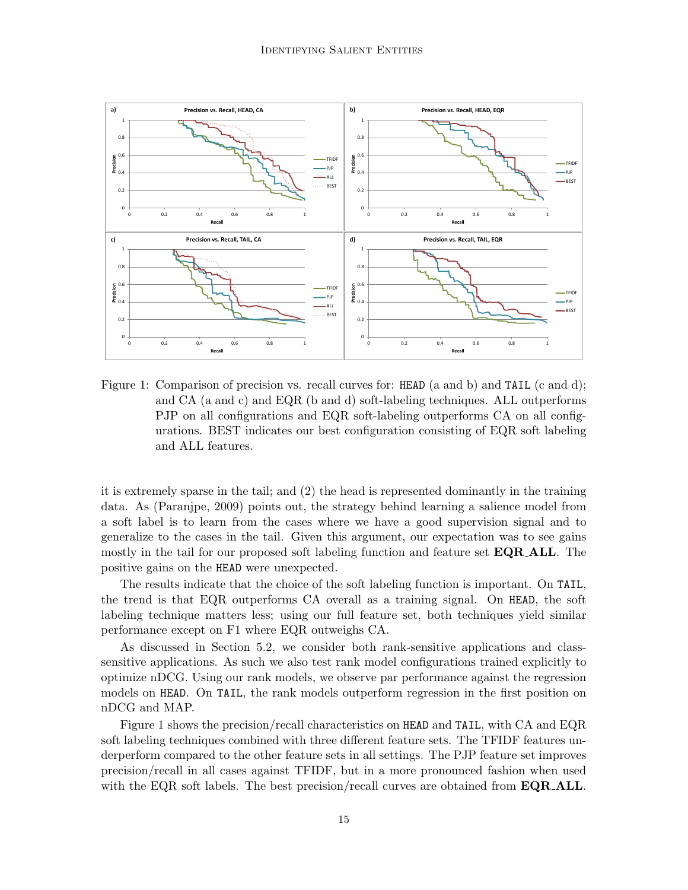

Figure 1: Comparison of precision vs. recall curves for: HEAD (a and b) and TAIL (c and d); and CA (a and c) and EQR (b and d) soft-labeling techniques. ALL outperforms PJP on all configurations and EQR soft-labeling outperforms CA on all configurations. BEST indicates our best configuration consisting of EQR soft labeling and ALL features.

it is extremely sparse in the tail; and (2) the head is represented dominantly in the training data. As (Paranjpe, 2009) points out, the strategy behind learning a salience model from a soft label is to learn from the cases where we have a good supervision signal and to generalize to the cases in the tail. Given this argument, our expectation was to see gains mostly in the tail for our proposed soft labeling function and feature set **EQR\_ALL**. The positive gains on the HEAD were unexpected.

The results indicate that the choice of the soft labeling function is important. On TAIL, the trend is that EQR outperforms CA overall as a training signal. On HEAD, the soft labeling technique matters less; using our full feature set, both techniques yield similar performance except on F1 where EQR outweighs CA.

As discussed in Section 5.2, we consider both rank-sensitive applications and classsensitive applications. As such we also test rank model configurations trained explicitly to optimize nDCG. Using our rank models, we observe par performance against the regression models on HEAD. On TAIL, the rank models outperform regression in the first position on nDCG and MAP.

Figure 1 shows the precision/recall characteristics on HEAD and TAIL, with CA and EQR soft labeling techniques combined with three different feature sets. The TFIDF features underperform compared to the other feature sets in all settings. The PJP feature set improves precision/recall in all cases against TFIDF, but in a more pronounced fashion when used with the EQR soft labels. The best precision/recall curves are obtained from  $\mathbf{EQR}\text{-}\mathbf{ALL}$ .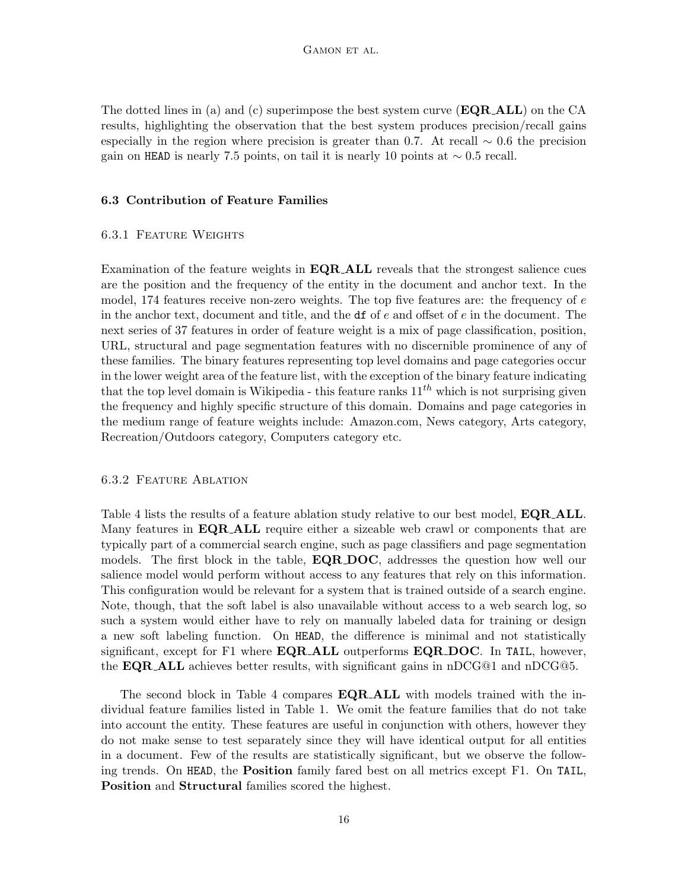The dotted lines in (a) and (c) superimpose the best system curve  $(\mathbf{EQR}\text{-}\mathbf{ALL})$  on the CA results, highlighting the observation that the best system produces precision/recall gains especially in the region where precision is greater than 0.7. At recall  $\sim$  0.6 the precision gain on HEAD is nearly 7.5 points, on tail it is nearly 10 points at  $\sim 0.5$  recall.

### 6.3 Contribution of Feature Families

### 6.3.1 Feature Weights

Examination of the feature weights in  $\mathbf{EQR}\text{-}\mathbf{ALL}$  reveals that the strongest salience cues are the position and the frequency of the entity in the document and anchor text. In the model, 174 features receive non-zero weights. The top five features are: the frequency of  $e$ in the anchor text, document and title, and the  $df$  of e and offset of e in the document. The next series of 37 features in order of feature weight is a mix of page classification, position, URL, structural and page segmentation features with no discernible prominence of any of these families. The binary features representing top level domains and page categories occur in the lower weight area of the feature list, with the exception of the binary feature indicating that the top level domain is Wikipedia - this feature ranks  $11^{th}$  which is not surprising given the frequency and highly specific structure of this domain. Domains and page categories in the medium range of feature weights include: Amazon.com, News category, Arts category, Recreation/Outdoors category, Computers category etc.

### 6.3.2 Feature Ablation

Table 4 lists the results of a feature ablation study relative to our best model, **EQR\_ALL**. Many features in  $\mathbf{EQR}\text{-}\mathbf{ALL}$  require either a sizeable web crawl or components that are typically part of a commercial search engine, such as page classifiers and page segmentation models. The first block in the table, **EQR\_DOC**, addresses the question how well our salience model would perform without access to any features that rely on this information. This configuration would be relevant for a system that is trained outside of a search engine. Note, though, that the soft label is also unavailable without access to a web search log, so such a system would either have to rely on manually labeled data for training or design a new soft labeling function. On HEAD, the difference is minimal and not statistically significant, except for F1 where  $\mathbf{EQR}\_\mathbf{ALL}$  outperforms  $\mathbf{EQR}\_\mathbf{DOC}$ . In TAIL, however, the **EQR\_ALL** achieves better results, with significant gains in  $nDCG@1$  and  $nDCG@5$ .

The second block in Table 4 compares EQR ALL with models trained with the individual feature families listed in Table 1. We omit the feature families that do not take into account the entity. These features are useful in conjunction with others, however they do not make sense to test separately since they will have identical output for all entities in a document. Few of the results are statistically significant, but we observe the following trends. On HEAD, the Position family fared best on all metrics except F1. On TAIL, Position and Structural families scored the highest.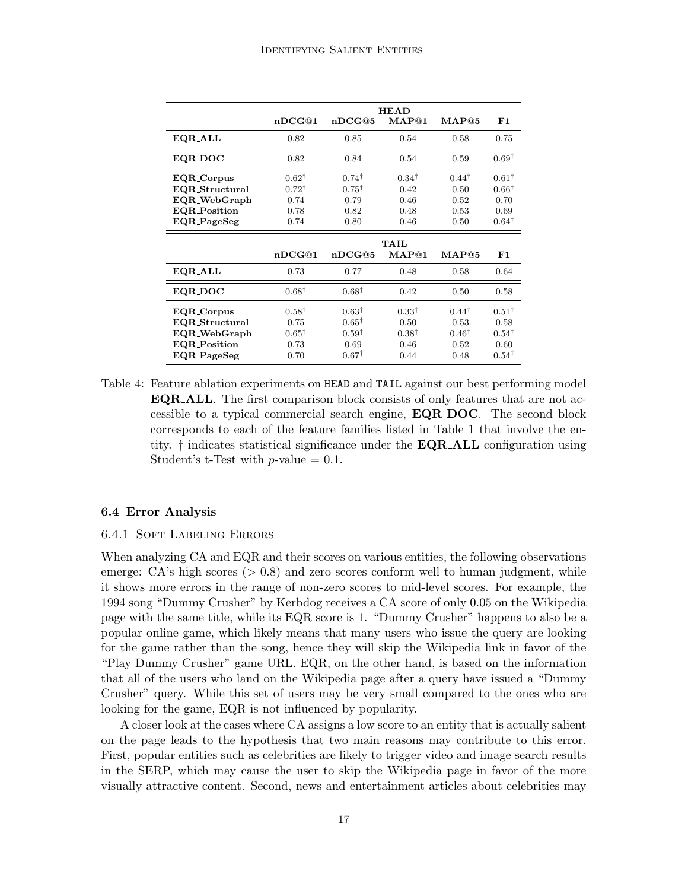|                                     | <b>HEAD</b>                          |                                      |                          |                          |                                      |  |  |
|-------------------------------------|--------------------------------------|--------------------------------------|--------------------------|--------------------------|--------------------------------------|--|--|
|                                     | nDCG@1                               | nDCG@5                               | MAP@1                    | $\mathbf{MAP@5}$         | F1                                   |  |  |
| EQR_ALL                             | 0.82                                 | 0.85                                 | 0.54                     | 0.58                     | 0.75                                 |  |  |
| EQR_DOC                             | 0.82                                 | 0.84                                 | 0.54                     | 0.59                     | $0.69^{\dagger}$                     |  |  |
| EQR_Corpus<br>EQR_Structural        | $0.62^{\dagger}$<br>$0.72^{\dagger}$ | $0.74^{\dagger}$<br>$0.75^{\dagger}$ | $0.34^{\dagger}$<br>0.42 | $0.44^{\dagger}$<br>0.50 | $0.61^{\dagger}$<br>$0.66^{\dagger}$ |  |  |
| EQR_WebGraph<br><b>EQR_Position</b> | 0.74<br>0.78                         | 0.79<br>0.82                         | 0.46<br>0.48             | 0.52<br>0.53             | 0.70<br>0.69                         |  |  |
| EQR_PageSeg                         | 0.74                                 | 0.80                                 | 0.46                     | 0.50                     | $0.64^{\dagger}$                     |  |  |
|                                     |                                      |                                      |                          |                          |                                      |  |  |
|                                     |                                      |                                      | <b>TAIL</b>              |                          |                                      |  |  |
|                                     | nDCG@1                               | nDCG@5                               | MAP@1                    | MAP@5                    | F1                                   |  |  |
| EQR_ALL                             | 0.73                                 | 0.77                                 | 0.48                     | 0.58                     | 0.64                                 |  |  |
| EQR_DOC                             | $0.68^{\dagger}$                     | $0.68^{\dagger}$                     | 0.42                     | 0.50                     | 0.58                                 |  |  |
| EQR_Corpus                          | $0.58^{\dagger}$                     | $0.63^{\dagger}$                     | $0.33^{\dagger}$         | $0.44^{\dagger}$         | $0.51^{\dagger}$                     |  |  |
| <b>EQR_Structural</b>               | 0.75                                 | $0.65^{\dagger}$                     | 0.50                     | 0.53                     | 0.58                                 |  |  |
| EQR_WebGraph<br><b>EQR_Position</b> | $0.65^{\dagger}$<br>0.73             | $0.59^{\dagger}$<br>0.69             | $0.38^{\dagger}$<br>0.46 | $0.46^{\dagger}$<br>0.52 | $0.54^{\dagger}$<br>0.60             |  |  |

Table 4: Feature ablation experiments on HEAD and TAIL against our best performing model EQR ALL. The first comparison block consists of only features that are not accessible to a typical commercial search engine, EQR DOC. The second block corresponds to each of the feature families listed in Table 1 that involve the entity. † indicates statistical significance under the EQR ALL configuration using Student's t-Test with  $p$ -value  $= 0.1$ .

#### 6.4 Error Analysis

#### 6.4.1 Soft Labeling Errors

When analyzing CA and EQR and their scores on various entities, the following observations emerge:  $CA$ 's high scores  $(> 0.8)$  and zero scores conform well to human judgment, while it shows more errors in the range of non-zero scores to mid-level scores. For example, the 1994 song "Dummy Crusher" by Kerbdog receives a CA score of only 0.05 on the Wikipedia page with the same title, while its EQR score is 1. "Dummy Crusher" happens to also be a popular online game, which likely means that many users who issue the query are looking for the game rather than the song, hence they will skip the Wikipedia link in favor of the "Play Dummy Crusher" game URL. EQR, on the other hand, is based on the information that all of the users who land on the Wikipedia page after a query have issued a "Dummy Crusher" query. While this set of users may be very small compared to the ones who are looking for the game, EQR is not influenced by popularity.

A closer look at the cases where CA assigns a low score to an entity that is actually salient on the page leads to the hypothesis that two main reasons may contribute to this error. First, popular entities such as celebrities are likely to trigger video and image search results in the SERP, which may cause the user to skip the Wikipedia page in favor of the more visually attractive content. Second, news and entertainment articles about celebrities may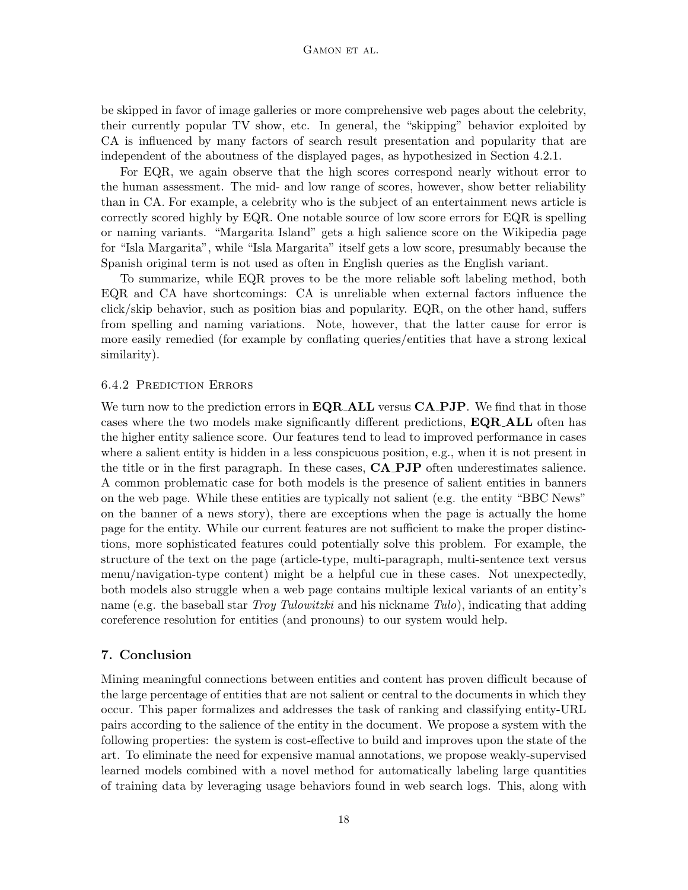be skipped in favor of image galleries or more comprehensive web pages about the celebrity, their currently popular TV show, etc. In general, the "skipping" behavior exploited by CA is influenced by many factors of search result presentation and popularity that are independent of the aboutness of the displayed pages, as hypothesized in Section 4.2.1.

For EQR, we again observe that the high scores correspond nearly without error to the human assessment. The mid- and low range of scores, however, show better reliability than in CA. For example, a celebrity who is the subject of an entertainment news article is correctly scored highly by EQR. One notable source of low score errors for EQR is spelling or naming variants. "Margarita Island" gets a high salience score on the Wikipedia page for "Isla Margarita", while "Isla Margarita" itself gets a low score, presumably because the Spanish original term is not used as often in English queries as the English variant.

To summarize, while EQR proves to be the more reliable soft labeling method, both EQR and CA have shortcomings: CA is unreliable when external factors influence the click/skip behavior, such as position bias and popularity. EQR, on the other hand, suffers from spelling and naming variations. Note, however, that the latter cause for error is more easily remedied (for example by conflating queries/entities that have a strong lexical similarity).

#### 6.4.2 Prediction Errors

We turn now to the prediction errors in  $\mathbf{EQR}\text{-}\mathbf{ALL}$  versus  $\mathbf{CA}\text{-}\mathbf{PJP}$ . We find that in those cases where the two models make significantly different predictions, EQR ALL often has the higher entity salience score. Our features tend to lead to improved performance in cases where a salient entity is hidden in a less conspicuous position, e.g., when it is not present in the title or in the first paragraph. In these cases, CA PJP often underestimates salience. A common problematic case for both models is the presence of salient entities in banners on the web page. While these entities are typically not salient (e.g. the entity "BBC News" on the banner of a news story), there are exceptions when the page is actually the home page for the entity. While our current features are not sufficient to make the proper distinctions, more sophisticated features could potentially solve this problem. For example, the structure of the text on the page (article-type, multi-paragraph, multi-sentence text versus menu/navigation-type content) might be a helpful cue in these cases. Not unexpectedly, both models also struggle when a web page contains multiple lexical variants of an entity's name (e.g. the baseball star Troy Tulowitzki and his nickname Tulo), indicating that adding coreference resolution for entities (and pronouns) to our system would help.

## 7. Conclusion

Mining meaningful connections between entities and content has proven difficult because of the large percentage of entities that are not salient or central to the documents in which they occur. This paper formalizes and addresses the task of ranking and classifying entity-URL pairs according to the salience of the entity in the document. We propose a system with the following properties: the system is cost-effective to build and improves upon the state of the art. To eliminate the need for expensive manual annotations, we propose weakly-supervised learned models combined with a novel method for automatically labeling large quantities of training data by leveraging usage behaviors found in web search logs. This, along with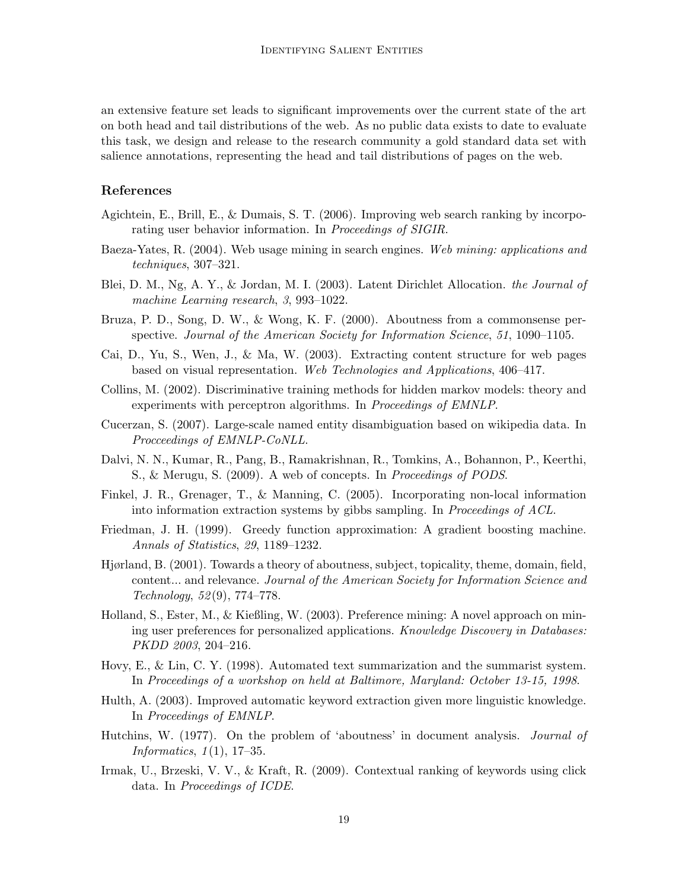an extensive feature set leads to significant improvements over the current state of the art on both head and tail distributions of the web. As no public data exists to date to evaluate this task, we design and release to the research community a gold standard data set with salience annotations, representing the head and tail distributions of pages on the web.

# References

- Agichtein, E., Brill, E., & Dumais, S. T. (2006). Improving web search ranking by incorporating user behavior information. In Proceedings of SIGIR.
- Baeza-Yates, R. (2004). Web usage mining in search engines. Web mining: applications and techniques, 307–321.
- Blei, D. M., Ng, A. Y., & Jordan, M. I. (2003). Latent Dirichlet Allocation. the Journal of machine Learning research, 3, 993–1022.
- Bruza, P. D., Song, D. W., & Wong, K. F. (2000). Aboutness from a commonsense perspective. Journal of the American Society for Information Science, 51, 1090–1105.
- Cai, D., Yu, S., Wen, J., & Ma, W. (2003). Extracting content structure for web pages based on visual representation. Web Technologies and Applications, 406–417.
- Collins, M. (2002). Discriminative training methods for hidden markov models: theory and experiments with perceptron algorithms. In Proceedings of EMNLP.
- Cucerzan, S. (2007). Large-scale named entity disambiguation based on wikipedia data. In Procceedings of EMNLP-CoNLL.
- Dalvi, N. N., Kumar, R., Pang, B., Ramakrishnan, R., Tomkins, A., Bohannon, P., Keerthi, S., & Merugu, S. (2009). A web of concepts. In Proceedings of PODS.
- Finkel, J. R., Grenager, T., & Manning, C. (2005). Incorporating non-local information into information extraction systems by gibbs sampling. In Proceedings of ACL.
- Friedman, J. H. (1999). Greedy function approximation: A gradient boosting machine. Annals of Statistics, 29, 1189–1232.
- Hjørland, B. (2001). Towards a theory of aboutness, subject, topicality, theme, domain, field, content... and relevance. Journal of the American Society for Information Science and Technology, 52 (9), 774–778.
- Holland, S., Ester, M., & Kießling, W. (2003). Preference mining: A novel approach on mining user preferences for personalized applications. Knowledge Discovery in Databases: PKDD 2003, 204–216.
- Hovy, E., & Lin, C. Y. (1998). Automated text summarization and the summarist system. In Proceedings of a workshop on held at Baltimore, Maryland: October 13-15, 1998.
- Hulth, A. (2003). Improved automatic keyword extraction given more linguistic knowledge. In Proceedings of EMNLP.
- Hutchins, W. (1977). On the problem of 'aboutness' in document analysis. Journal of *Informatics*,  $1(1)$ , 17-35.
- Irmak, U., Brzeski, V. V., & Kraft, R. (2009). Contextual ranking of keywords using click data. In Proceedings of ICDE.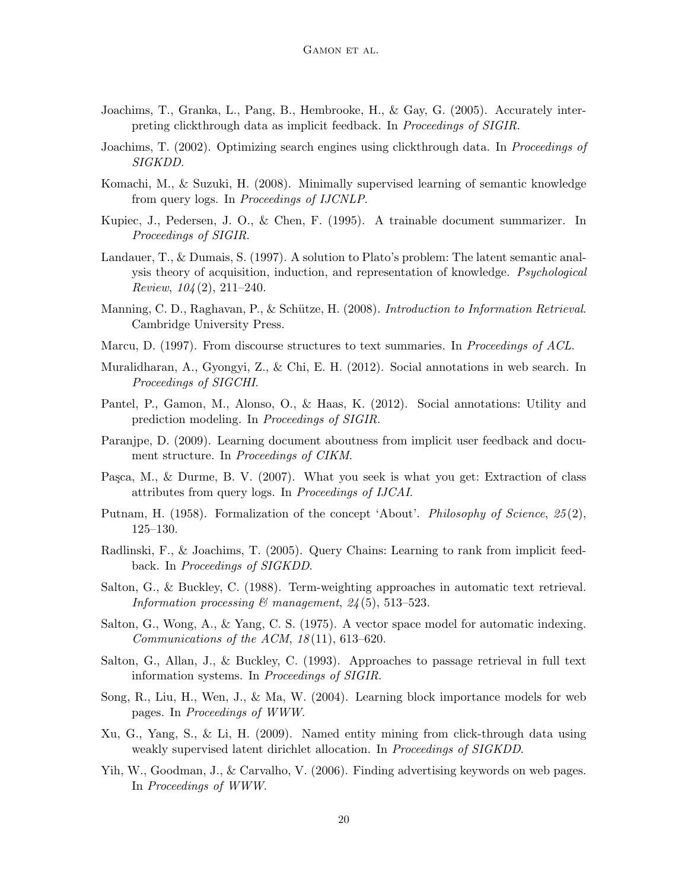- Joachims, T., Granka, L., Pang, B., Hembrooke, H., & Gay, G. (2005). Accurately interpreting clickthrough data as implicit feedback. In Proceedings of SIGIR.
- Joachims, T. (2002). Optimizing search engines using clickthrough data. In *Proceedings of* SIGKDD.
- Komachi, M., & Suzuki, H. (2008). Minimally supervised learning of semantic knowledge from query logs. In Proceedings of IJCNLP.
- Kupiec, J., Pedersen, J. O., & Chen, F. (1995). A trainable document summarizer. In Proceedings of SIGIR.
- Landauer, T., & Dumais, S. (1997). A solution to Plato's problem: The latent semantic analysis theory of acquisition, induction, and representation of knowledge. Psychological Review,  $104(2)$ ,  $211-240$ .
- Manning, C. D., Raghavan, P., & Schütze, H. (2008). Introduction to Information Retrieval. Cambridge University Press.
- Marcu, D. (1997). From discourse structures to text summaries. In *Proceedings of ACL*.
- Muralidharan, A., Gyongyi, Z., & Chi, E. H. (2012). Social annotations in web search. In Proceedings of SIGCHI.
- Pantel, P., Gamon, M., Alonso, O., & Haas, K. (2012). Social annotations: Utility and prediction modeling. In Proceedings of SIGIR.
- Paranjpe, D. (2009). Learning document aboutness from implicit user feedback and document structure. In Proceedings of CIKM.
- Pasca, M., & Durme, B. V. (2007). What you seek is what you get: Extraction of class attributes from query logs. In Proceedings of IJCAI.
- Putnam, H. (1958). Formalization of the concept 'About'. Philosophy of Science, 25(2), 125–130.
- Radlinski, F., & Joachims, T. (2005). Query Chains: Learning to rank from implicit feedback. In Proceedings of SIGKDD.
- Salton, G., & Buckley, C. (1988). Term-weighting approaches in automatic text retrieval. Information processing  $\mathcal C$  management,  $24(5)$ , 513-523.
- Salton, G., Wong, A., & Yang, C. S. (1975). A vector space model for automatic indexing. Communications of the ACM,  $18(11)$ , 613-620.
- Salton, G., Allan, J., & Buckley, C. (1993). Approaches to passage retrieval in full text information systems. In Proceedings of SIGIR.
- Song, R., Liu, H., Wen, J., & Ma, W. (2004). Learning block importance models for web pages. In Proceedings of WWW.
- Xu, G., Yang, S., & Li, H. (2009). Named entity mining from click-through data using weakly supervised latent dirichlet allocation. In Proceedings of SIGKDD.
- Yih, W., Goodman, J., & Carvalho, V. (2006). Finding advertising keywords on web pages. In Proceedings of WWW.